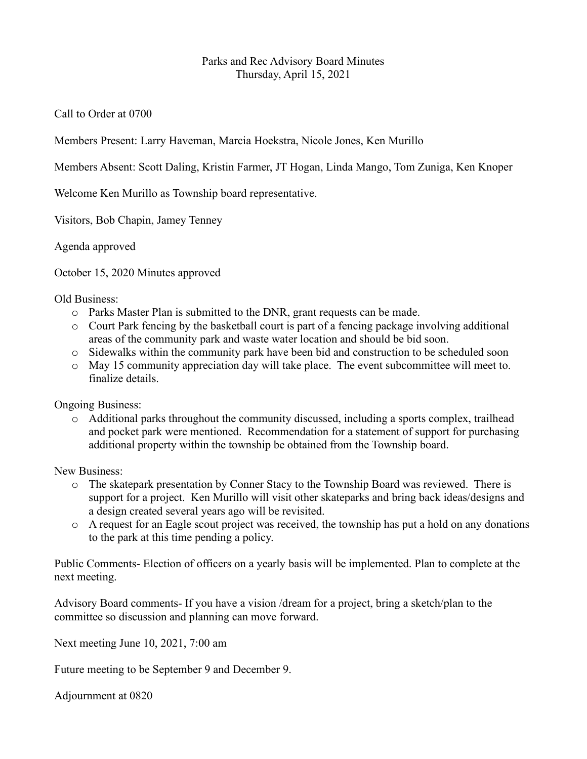## Parks and Rec Advisory Board Minutes Thursday, April 15, 2021

Call to Order at 0700

Members Present: Larry Haveman, Marcia Hoekstra, Nicole Jones, Ken Murillo

Members Absent: Scott Daling, Kristin Farmer, JT Hogan, Linda Mango, Tom Zuniga, Ken Knoper

Welcome Ken Murillo as Township board representative.

Visitors, Bob Chapin, Jamey Tenney

Agenda approved

October 15, 2020 Minutes approved

Old Business:

- o Parks Master Plan is submitted to the DNR, grant requests can be made.
- o Court Park fencing by the basketball court is part of a fencing package involving additional areas of the community park and waste water location and should be bid soon.
- o Sidewalks within the community park have been bid and construction to be scheduled soon
- o May 15 community appreciation day will take place. The event subcommittee will meet to. finalize details.

Ongoing Business:

 $\circ$  Additional parks throughout the community discussed, including a sports complex, trailhead and pocket park were mentioned. Recommendation for a statement of support for purchasing additional property within the township be obtained from the Township board.

New Business:

- o The skatepark presentation by Conner Stacy to the Township Board was reviewed. There is support for a project. Ken Murillo will visit other skateparks and bring back ideas/designs and a design created several years ago will be revisited.
- o A request for an Eagle scout project was received, the township has put a hold on any donations to the park at this time pending a policy.

Public Comments- Election of officers on a yearly basis will be implemented. Plan to complete at the next meeting.

Advisory Board comments- If you have a vision /dream for a project, bring a sketch/plan to the committee so discussion and planning can move forward.

Next meeting June 10, 2021, 7:00 am

Future meeting to be September 9 and December 9.

Adjournment at 0820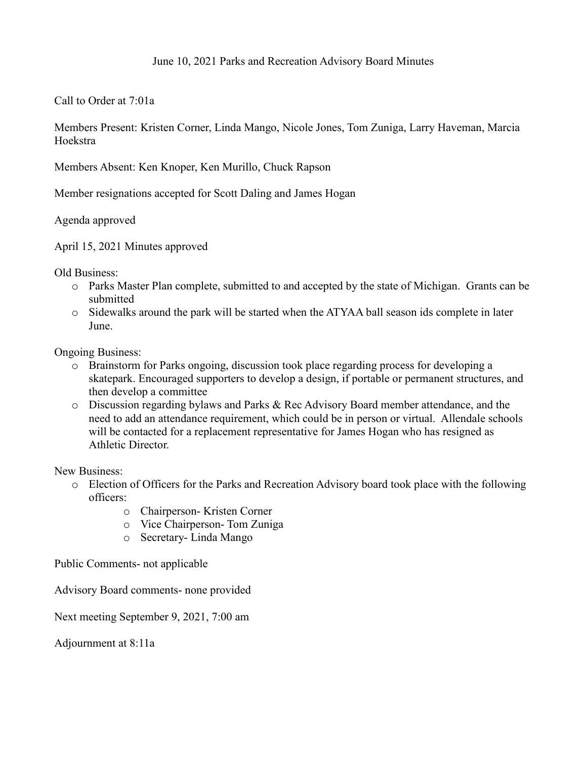Call to Order at 7:01a

Members Present: Kristen Corner, Linda Mango, Nicole Jones, Tom Zuniga, Larry Haveman, Marcia Hoekstra

Members Absent: Ken Knoper, Ken Murillo, Chuck Rapson

Member resignations accepted for Scott Daling and James Hogan

Agenda approved

April 15, 2021 Minutes approved

Old Business:

- o Parks Master Plan complete, submitted to and accepted by the state of Michigan. Grants can be submitted
- o Sidewalks around the park will be started when the ATYAA ball season ids complete in later June.

Ongoing Business:

- o Brainstorm for Parks ongoing, discussion took place regarding process for developing a skatepark. Encouraged supporters to develop a design, if portable or permanent structures, and then develop a committee
- o Discussion regarding bylaws and Parks & Rec Advisory Board member attendance, and the need to add an attendance requirement, which could be in person or virtual. Allendale schools will be contacted for a replacement representative for James Hogan who has resigned as Athletic Director.

New Business:

- o Election of Officers for the Parks and Recreation Advisory board took place with the following officers:
	- o Chairperson- Kristen Corner
	- o Vice Chairperson- Tom Zuniga
	- o Secretary- Linda Mango

Public Comments- not applicable

Advisory Board comments- none provided

Next meeting September 9, 2021, 7:00 am

Adjournment at 8:11a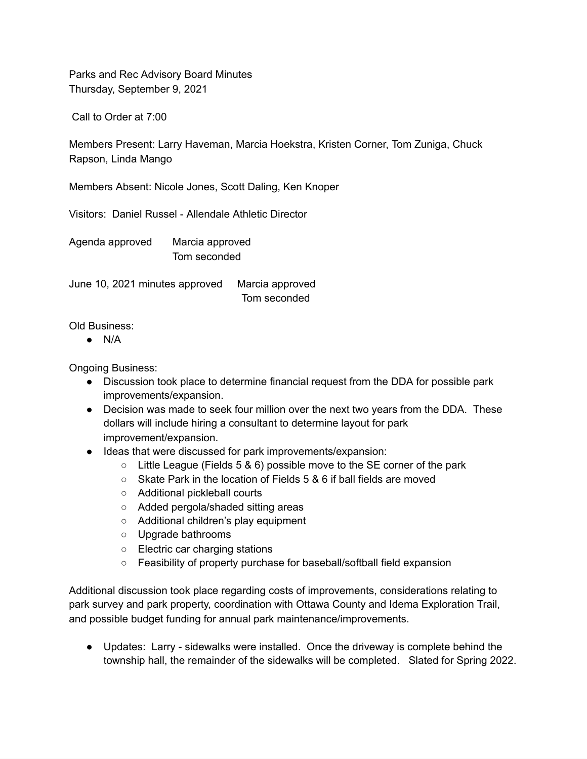Parks and Rec Advisory Board Minutes Thursday, September 9, 2021

Call to Order at 7:00

Members Present: Larry Haveman, Marcia Hoekstra, Kristen Corner, Tom Zuniga, Chuck Rapson, Linda Mango

Members Absent: Nicole Jones, Scott Daling, Ken Knoper

Visitors: Daniel Russel - Allendale Athletic Director

Agenda approved Marcia approved Tom seconded

June 10, 2021 minutes approved Marcia approved Tom seconded

Old Business:

 $\bullet$  N/A

Ongoing Business:

- Discussion took place to determine financial request from the DDA for possible park improvements/expansion.
- Decision was made to seek four million over the next two years from the DDA. These dollars will include hiring a consultant to determine layout for park improvement/expansion.
- Ideas that were discussed for park improvements/expansion:
	- $\circ$  Little League (Fields 5 & 6) possible move to the SE corner of the park
	- Skate Park in the location of Fields 5 & 6 if ball fields are moved
	- Additional pickleball courts
	- Added pergola/shaded sitting areas
	- Additional children's play equipment
	- Upgrade bathrooms
	- Electric car charging stations
	- Feasibility of property purchase for baseball/softball field expansion

Additional discussion took place regarding costs of improvements, considerations relating to park survey and park property, coordination with Ottawa County and Idema Exploration Trail, and possible budget funding for annual park maintenance/improvements.

● Updates: Larry - sidewalks were installed. Once the driveway is complete behind the township hall, the remainder of the sidewalks will be completed. Slated for Spring 2022.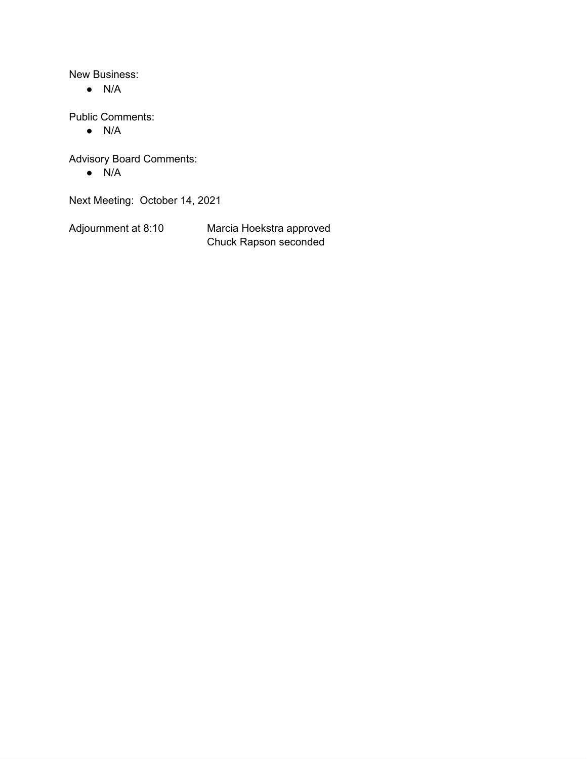New Business:

 $\bullet$  N/A

Public Comments:

● N/A

Advisory Board Comments:

● N/A

Next Meeting: October 14, 2021

Adjournment at 8:10 Marcia Hoekstra approved Chuck Rapson seconded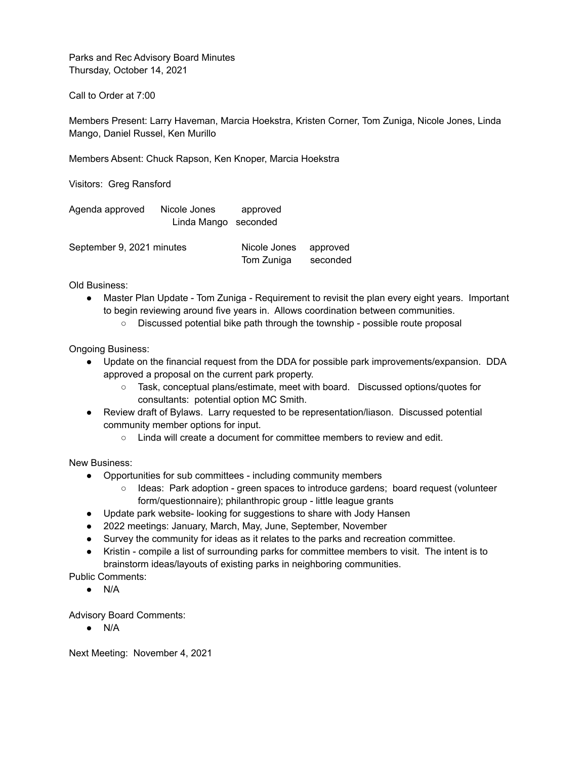Parks and Rec Advisory Board Minutes Thursday, October 14, 2021

Call to Order at 7:00

Members Present: Larry Haveman, Marcia Hoekstra, Kristen Corner, Tom Zuniga, Nicole Jones, Linda Mango, Daniel Russel, Ken Murillo

Members Absent: Chuck Rapson, Ken Knoper, Marcia Hoekstra

Visitors: Greg Ransford

| Agenda approved | Nicole Jones         | approved |  |
|-----------------|----------------------|----------|--|
|                 | Linda Mango seconded |          |  |

| September 9, 2021 minutes | Nicole Jones | approved |
|---------------------------|--------------|----------|
|                           | Tom Zuniga   | seconded |

Old Business:

- Master Plan Update Tom Zuniga Requirement to revisit the plan every eight years. Important to begin reviewing around five years in. Allows coordination between communities.
	- Discussed potential bike path through the township possible route proposal

Ongoing Business:

- Update on the financial request from the DDA for possible park improvements/expansion. DDA approved a proposal on the current park property.
	- Task, conceptual plans/estimate, meet with board. Discussed options/quotes for consultants: potential option MC Smith.
- Review draft of Bylaws. Larry requested to be representation/liason. Discussed potential community member options for input.
	- Linda will create a document for committee members to review and edit.

New Business:

- Opportunities for sub committees including community members
	- Ideas: Park adoption green spaces to introduce gardens; board request (volunteer form/questionnaire); philanthropic group - little league grants
- Update park website- looking for suggestions to share with Jody Hansen
- 2022 meetings: January, March, May, June, September, November
- Survey the community for ideas as it relates to the parks and recreation committee.
- Kristin compile a list of surrounding parks for committee members to visit. The intent is to brainstorm ideas/layouts of existing parks in neighboring communities.

Public Comments:

 $\bullet$  N/A

Advisory Board Comments:

● N/A

Next Meeting: November 4, 2021